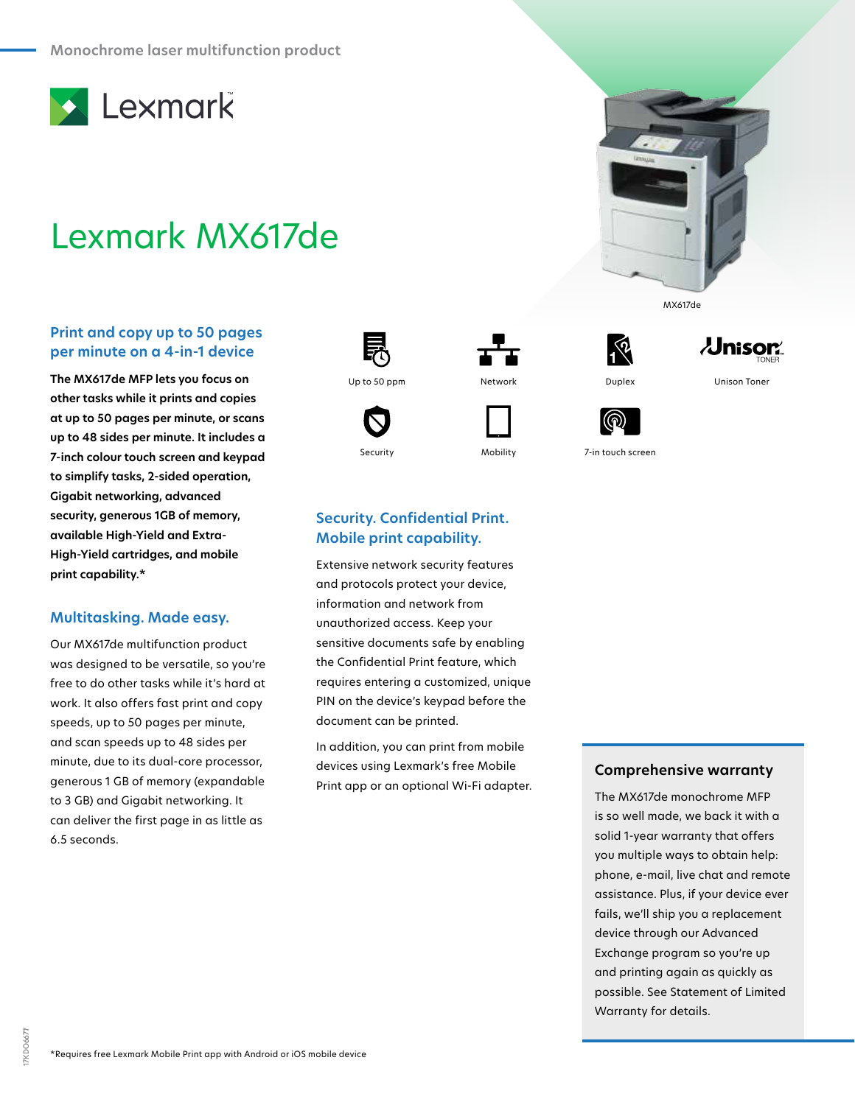

# Lexmark MX617de

## **Print and copy up to 50 pages per minute on a 4-in-1 device**

**The MX617de MFP lets you focus on other tasks while it prints and copies at up to 50 pages per minute, or scans up to 48 sides per minute. It includes a 7-inch colour touch screen and keypad to simplify tasks, 2-sided operation, Gigabit networking, advanced security, generous 1GB of memory, available High-Yield and Extra-High-Yield cartridges, and mobile print capability.\***

## **Multitasking. Made easy.**

Our MX617de multifunction product was designed to be versatile, so you're free to do other tasks while it's hard at work. It also offers fast print and copy speeds, up to 50 pages per minute, and scan speeds up to 48 sides per minute, due to its dual-core processor, generous 1 GB of memory (expandable to 3 GB) and Gigabit networking. It can deliver the first page in as little as 6.5 seconds.





**Security. Confidential Print. Mobile print capability.**

Extensive network security features and protocols protect your device, information and network from unauthorized access. Keep your sensitive documents safe by enabling the Confidential Print feature, which requires entering a customized, unique PIN on the device's keypad before the

document can be printed.

In addition, you can print from mobile devices using Lexmark's free Mobile Print app or an optional Wi-Fi adapter.





MX617de

 $\lambda$ Jnisor $\lambda$ 

Security Mobility 7-in touch screen

## **Comprehensive warranty**

The MX617de monochrome MFP is so well made, we back it with a solid 1-year warranty that offers you multiple ways to obtain help: phone, e-mail, live chat and remote assistance. Plus, if your device ever fails, we'll ship you a replacement device through our Advanced Exchange program so you're up and printing again as quickly as possible. See Statement of Limited Warranty for details.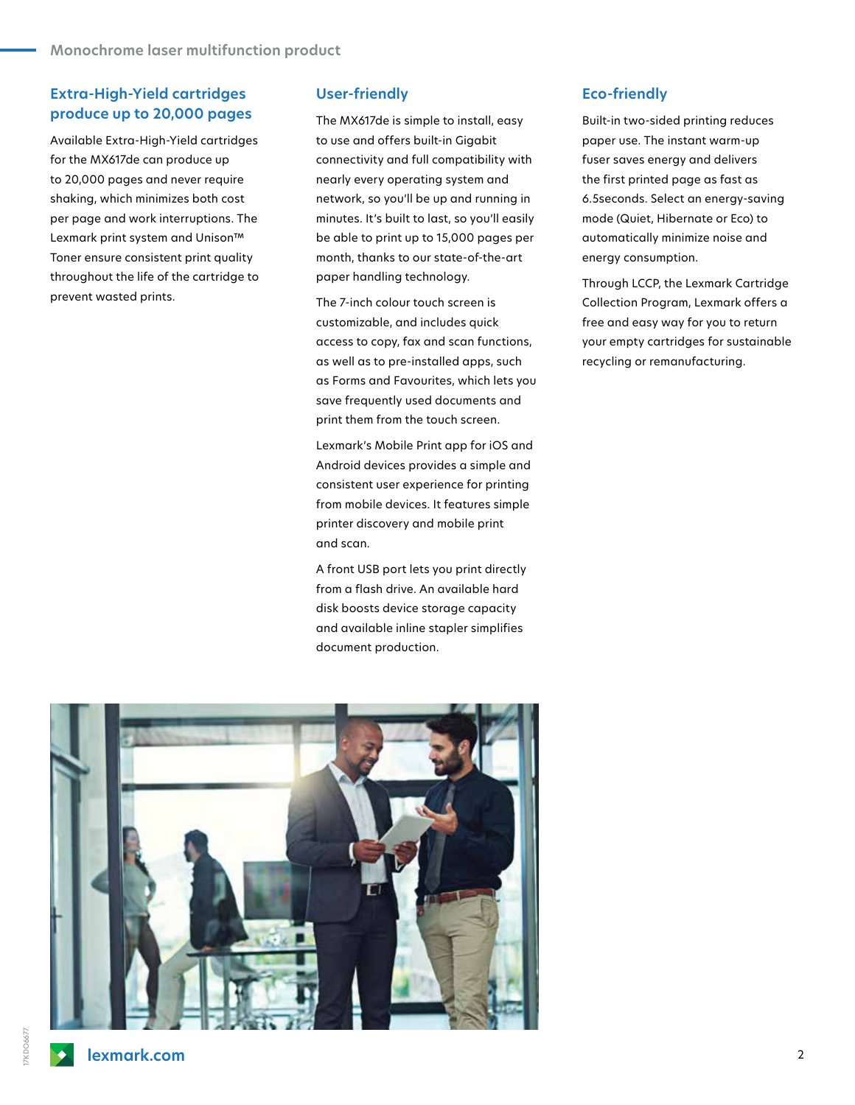## **Extra-High-Yield cartridges produce up to 20,000 pages**

Available Extra-High-Yield cartridges for the MX617de can produce up to 20,000 pages and never require shaking, which minimizes both cost per page and work interruptions. The Lexmark print system and Unison™ Toner ensure consistent print quality throughout the life of the cartridge to prevent wasted prints.

#### **User-friendly**

The MX617de is simple to install, easy to use and offers built-in Gigabit connectivity and full compatibility with nearly every operating system and network, so you'll be up and running in minutes. It's built to last, so you'll easily be able to print up to 15,000 pages per month, thanks to our state-of-the-art paper handling technology.

The 7-inch colour touch screen is customizable, and includes quick access to copy, fax and scan functions, as well as to pre-installed apps, such as Forms and Favourites, which lets you save frequently used documents and print them from the touch screen.

Lexmark's Mobile Print app for iOS and Android devices provides a simple and consistent user experience for printing from mobile devices. It features simple printer discovery and mobile print and scan.

A front USB port lets you print directly from a flash drive. An available hard disk boosts device storage capacity and available inline stapler simplifies document production.

#### **Eco-friendly**

Built-in two-sided printing reduces paper use. The instant warm-up fuser saves energy and delivers the first printed page as fast as 6.5seconds. Select an energy-saving mode (Quiet, Hibernate or Eco) to automatically minimize noise and energy consumption.

Through LCCP, the Lexmark Cartridge Collection Program, Lexmark offers a free and easy way for you to return your empty cartridges for sustainable recycling or remanufacturing.



 $\blacklozenge$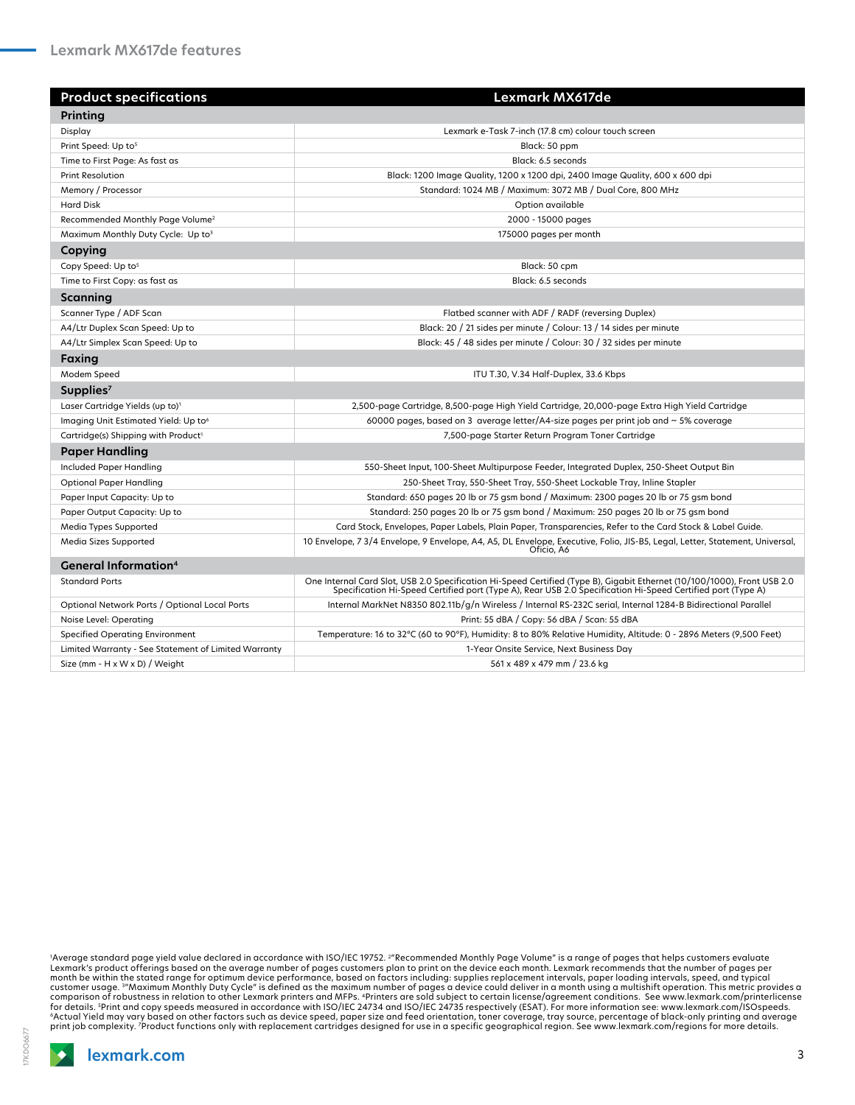| <b>Product specifications</b>                        | Lexmark MX617de                                                                                                                                                                                                                         |
|------------------------------------------------------|-----------------------------------------------------------------------------------------------------------------------------------------------------------------------------------------------------------------------------------------|
| Printing                                             |                                                                                                                                                                                                                                         |
| Display                                              | Lexmark e-Task 7-inch (17.8 cm) colour touch screen                                                                                                                                                                                     |
| Print Speed: Up to <sup>5</sup>                      | Black: 50 ppm                                                                                                                                                                                                                           |
| Time to First Page: As fast as                       | Black: 6.5 seconds                                                                                                                                                                                                                      |
| <b>Print Resolution</b>                              | Black: 1200 Image Quality, 1200 x 1200 dpi, 2400 Image Quality, 600 x 600 dpi                                                                                                                                                           |
| Memory / Processor                                   | Standard: 1024 MB / Maximum: 3072 MB / Dual Core, 800 MHz                                                                                                                                                                               |
| <b>Hard Disk</b>                                     | Option available                                                                                                                                                                                                                        |
| Recommended Monthly Page Volume <sup>2</sup>         | 2000 - 15000 pages                                                                                                                                                                                                                      |
| Maximum Monthly Duty Cycle: Up to3                   | 175000 pages per month                                                                                                                                                                                                                  |
| Copying                                              |                                                                                                                                                                                                                                         |
| Copy Speed: Up to <sup>5</sup>                       | Black: 50 cpm                                                                                                                                                                                                                           |
| Time to First Copy: as fast as                       | Black: 6.5 seconds                                                                                                                                                                                                                      |
| Scanning                                             |                                                                                                                                                                                                                                         |
| Scanner Type / ADF Scan                              | Flatbed scanner with ADF / RADF (reversing Duplex)                                                                                                                                                                                      |
| A4/Ltr Duplex Scan Speed: Up to                      | Black: 20 / 21 sides per minute / Colour: 13 / 14 sides per minute                                                                                                                                                                      |
| A4/Ltr Simplex Scan Speed: Up to                     | Black: 45 / 48 sides per minute / Colour: 30 / 32 sides per minute                                                                                                                                                                      |
| Faxing                                               |                                                                                                                                                                                                                                         |
| Modem Speed                                          | ITU T.30, V.34 Half-Duplex, 33.6 Kbps                                                                                                                                                                                                   |
| Supplies <sup>7</sup>                                |                                                                                                                                                                                                                                         |
| Laser Cartridge Yields (up to) <sup>1</sup>          | 2,500-page Cartridge, 8,500-page High Yield Cartridge, 20,000-page Extra High Yield Cartridge                                                                                                                                           |
| Imaging Unit Estimated Yield: Up to <sup>6</sup>     | 60000 pages, based on 3 average letter/A4-size pages per print job and $\sim$ 5% coverage                                                                                                                                               |
| Cartridge(s) Shipping with Product <sup>1</sup>      | 7,500-page Starter Return Program Toner Cartridge                                                                                                                                                                                       |
| <b>Paper Handling</b>                                |                                                                                                                                                                                                                                         |
| Included Paper Handling                              | 550-Sheet Input, 100-Sheet Multipurpose Feeder, Integrated Duplex, 250-Sheet Output Bin                                                                                                                                                 |
| <b>Optional Paper Handling</b>                       | 250-Sheet Tray, 550-Sheet Tray, 550-Sheet Lockable Tray, Inline Stapler                                                                                                                                                                 |
| Paper Input Capacity: Up to                          | Standard: 650 pages 20 lb or 75 gsm bond / Maximum: 2300 pages 20 lb or 75 gsm bond                                                                                                                                                     |
| Paper Output Capacity: Up to                         | Standard: 250 pages 20 lb or 75 gsm bond / Maximum: 250 pages 20 lb or 75 gsm bond                                                                                                                                                      |
| Media Types Supported                                | Card Stock, Envelopes, Paper Labels, Plain Paper, Transparencies, Refer to the Card Stock & Label Guide.                                                                                                                                |
| Media Sizes Supported                                | 10 Envelope, 7 3/4 Envelope, 9 Envelope, A4, A5, DL Envelope, Executive, Folio, JIS-B5, Legal, Letter, Statement, Universal,<br>Oficio. A6                                                                                              |
| <b>General Information</b> <sup>4</sup>              |                                                                                                                                                                                                                                         |
| <b>Standard Ports</b>                                | One Internal Card Slot, USB 2.0 Specification Hi-Speed Certified (Type B), Gigabit Ethernet (10/100/1000), Front USB 2.0<br>Specification Hi-Speed Certified port (Type A), Rear USB 2.0 Specification Hi-Speed Certified port (Type A) |
| Optional Network Ports / Optional Local Ports        | Internal MarkNet N8350 802.11b/g/n Wireless / Internal RS-232C serial, Internal 1284-B Bidirectional Parallel                                                                                                                           |
| Noise Level: Operating                               | Print: 55 dBA / Copy: 56 dBA / Scan: 55 dBA                                                                                                                                                                                             |
| <b>Specified Operating Environment</b>               | Temperature: 16 to 32°C (60 to 90°F), Humidity: 8 to 80% Relative Humidity, Altitude: 0 - 2896 Meters (9,500 Feet)                                                                                                                      |
| Limited Warranty - See Statement of Limited Warranty | 1-Year Onsite Service, Next Business Day                                                                                                                                                                                                |
| Size (mm - H x W x D) / Weight                       | 561 x 489 x 479 mm / 23.6 kg                                                                                                                                                                                                            |

'Average standard page yield value declared in accordance with ISO/IEC 19752. <sup>2</sup>"Recommended Monthly Page Volume" is a range of pages that helps customers evaluate<br>Lexmark's product offerings based on the average number o